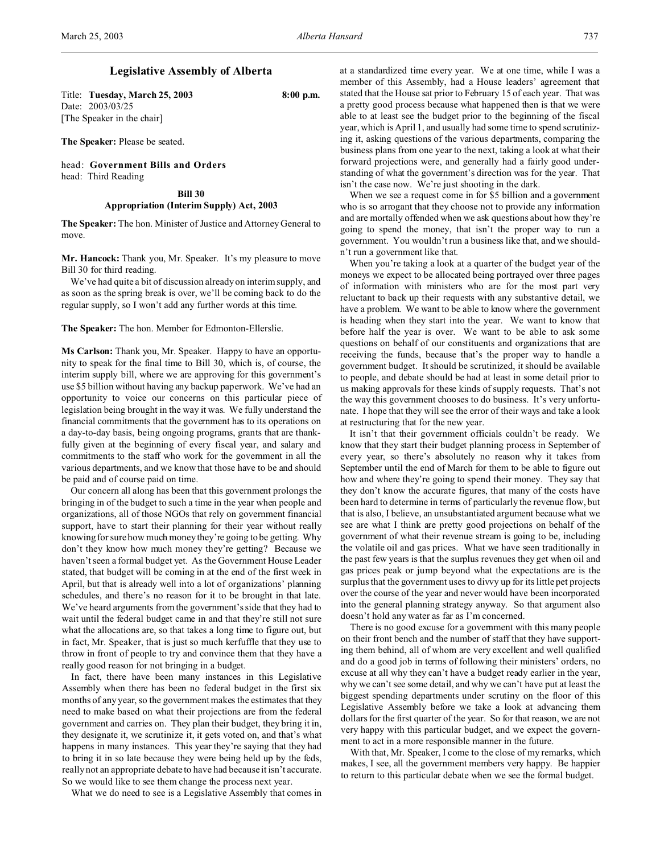# **Legislative Assembly of Alberta**

Title: **Tuesday, March 25, 2003 8:00 p.m.** Date: 2003/03/25 [The Speaker in the chair]

**The Speaker:** Please be seated.

head: **Government Bills and Orders** head: Third Reading

> **Bill 30 Appropriation (Interim Supply) Act, 2003**

**The Speaker:** The hon. Minister of Justice and Attorney General to move.

**Mr. Hancock:** Thank you, Mr. Speaker. It's my pleasure to move Bill 30 for third reading.

We've had quite a bit of discussion already on interim supply, and as soon as the spring break is over, we'll be coming back to do the regular supply, so I won't add any further words at this time.

**The Speaker:** The hon. Member for Edmonton-Ellerslie.

**Ms Carlson:** Thank you, Mr. Speaker. Happy to have an opportunity to speak for the final time to Bill 30, which is, of course, the interim supply bill, where we are approving for this government's use \$5 billion without having any backup paperwork. We've had an opportunity to voice our concerns on this particular piece of legislation being brought in the way it was. We fully understand the financial commitments that the government has to its operations on a day-to-day basis, being ongoing programs, grants that are thankfully given at the beginning of every fiscal year, and salary and commitments to the staff who work for the government in all the various departments, and we know that those have to be and should be paid and of course paid on time.

Our concern all along has been that this government prolongs the bringing in of the budget to such a time in the year when people and organizations, all of those NGOs that rely on government financial support, have to start their planning for their year without really knowing for sure how much money they're going to be getting. Why don't they know how much money they're getting? Because we haven't seen a formal budget yet. As the Government House Leader stated, that budget will be coming in at the end of the first week in April, but that is already well into a lot of organizations' planning schedules, and there's no reason for it to be brought in that late. We've heard arguments from the government's side that they had to wait until the federal budget came in and that they're still not sure what the allocations are, so that takes a long time to figure out, but in fact, Mr. Speaker, that is just so much kerfuffle that they use to throw in front of people to try and convince them that they have a really good reason for not bringing in a budget.

In fact, there have been many instances in this Legislative Assembly when there has been no federal budget in the first six months of any year, so the government makes the estimates that they need to make based on what their projections are from the federal government and carries on. They plan their budget, they bring it in, they designate it, we scrutinize it, it gets voted on, and that's what happens in many instances. This year they're saying that they had to bring it in so late because they were being held up by the feds, really not an appropriate debate to have had because it isn't accurate. So we would like to see them change the process next year.

What we do need to see is a Legislative Assembly that comes in

at a standardized time every year. We at one time, while I was a member of this Assembly, had a House leaders' agreement that stated that the House sat prior to February 15 of each year. That was a pretty good process because what happened then is that we were able to at least see the budget prior to the beginning of the fiscal year, which is April 1, and usually had some time to spend scrutinizing it, asking questions of the various departments, comparing the business plans from one year to the next, taking a look at what their forward projections were, and generally had a fairly good understanding of what the government's direction was for the year. That isn't the case now. We're just shooting in the dark.

When we see a request come in for \$5 billion and a government who is so arrogant that they choose not to provide any information and are mortally offended when we ask questions about how they're going to spend the money, that isn't the proper way to run a government. You wouldn't run a business like that, and we shouldn't run a government like that.

When you're taking a look at a quarter of the budget year of the moneys we expect to be allocated being portrayed over three pages of information with ministers who are for the most part very reluctant to back up their requests with any substantive detail, we have a problem. We want to be able to know where the government is heading when they start into the year. We want to know that before half the year is over. We want to be able to ask some questions on behalf of our constituents and organizations that are receiving the funds, because that's the proper way to handle a government budget. It should be scrutinized, it should be available to people, and debate should be had at least in some detail prior to us making approvals for these kinds of supply requests. That's not the way this government chooses to do business. It's very unfortunate. I hope that they will see the error of their ways and take a look at restructuring that for the new year.

It isn't that their government officials couldn't be ready. We know that they start their budget planning process in September of every year, so there's absolutely no reason why it takes from September until the end of March for them to be able to figure out how and where they're going to spend their money. They say that they don't know the accurate figures, that many of the costs have been hard to determine in terms of particularly the revenue flow, but that is also, I believe, an unsubstantiated argument because what we see are what I think are pretty good projections on behalf of the government of what their revenue stream is going to be, including the volatile oil and gas prices. What we have seen traditionally in the past few years is that the surplus revenues they get when oil and gas prices peak or jump beyond what the expectations are is the surplus that the government uses to divvy up for its little pet projects over the course of the year and never would have been incorporated into the general planning strategy anyway. So that argument also doesn't hold any water as far as I'm concerned.

There is no good excuse for a government with this many people on their front bench and the number of staff that they have supporting them behind, all of whom are very excellent and well qualified and do a good job in terms of following their ministers' orders, no excuse at all why they can't have a budget ready earlier in the year, why we can't see some detail, and why we can't have put at least the biggest spending departments under scrutiny on the floor of this Legislative Assembly before we take a look at advancing them dollars for the first quarter of the year. So for that reason, we are not very happy with this particular budget, and we expect the government to act in a more responsible manner in the future.

With that, Mr. Speaker, I come to the close of my remarks, which makes, I see, all the government members very happy. Be happier to return to this particular debate when we see the formal budget.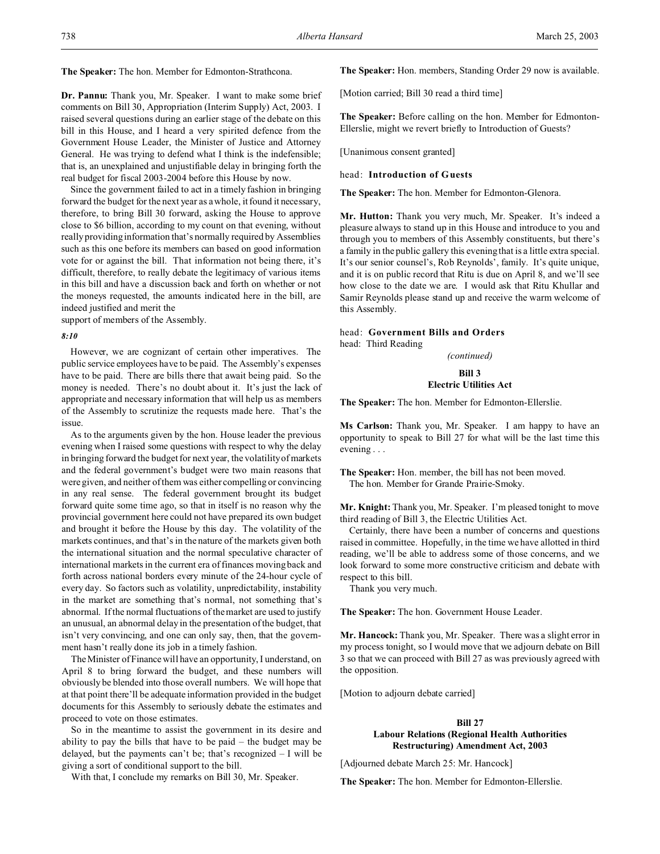**The Speaker:** The hon. Member for Edmonton-Strathcona.

**Dr. Pannu:** Thank you, Mr. Speaker. I want to make some brief comments on Bill 30, Appropriation (Interim Supply) Act, 2003. I raised several questions during an earlier stage of the debate on this bill in this House, and I heard a very spirited defence from the Government House Leader, the Minister of Justice and Attorney General. He was trying to defend what I think is the indefensible; that is, an unexplained and unjustifiable delay in bringing forth the real budget for fiscal 2003-2004 before this House by now.

Since the government failed to act in a timely fashion in bringing forward the budget for the next year as a whole, it found it necessary, therefore, to bring Bill 30 forward, asking the House to approve close to \$6 billion, according to my count on that evening, without really providing information that's normally required by Assemblies such as this one before its members can based on good information vote for or against the bill. That information not being there, it's difficult, therefore, to really debate the legitimacy of various items in this bill and have a discussion back and forth on whether or not the moneys requested, the amounts indicated here in the bill, are indeed justified and merit the

support of members of the Assembly.

### *8:10*

However, we are cognizant of certain other imperatives. The public service employees have to be paid. The Assembly's expenses have to be paid. There are bills there that await being paid. So the money is needed. There's no doubt about it. It's just the lack of appropriate and necessary information that will help us as members of the Assembly to scrutinize the requests made here. That's the issue.

As to the arguments given by the hon. House leader the previous evening when I raised some questions with respect to why the delay in bringing forward the budget for next year, the volatility of markets and the federal government's budget were two main reasons that were given, and neither of them was either compelling or convincing in any real sense. The federal government brought its budget forward quite some time ago, so that in itself is no reason why the provincial government here could not have prepared its own budget and brought it before the House by this day. The volatility of the markets continues, and that's in the nature of the markets given both the international situation and the normal speculative character of international markets in the current era of finances moving back and forth across national borders every minute of the 24-hour cycle of every day. So factors such as volatility, unpredictability, instability in the market are something that's normal, not something that's abnormal. If the normal fluctuations of the market are used to justify an unusual, an abnormal delay in the presentation of the budget, that isn't very convincing, and one can only say, then, that the government hasn't really done its job in a timely fashion.

The Minister of Finance will have an opportunity, I understand, on April 8 to bring forward the budget, and these numbers will obviously be blended into those overall numbers. We will hope that at that point there'll be adequate information provided in the budget documents for this Assembly to seriously debate the estimates and proceed to vote on those estimates.

So in the meantime to assist the government in its desire and ability to pay the bills that have to be paid – the budget may be delayed, but the payments can't be; that's recognized – I will be giving a sort of conditional support to the bill.

With that, I conclude my remarks on Bill 30, Mr. Speaker.

**The Speaker:** Hon. members, Standing Order 29 now is available.

[Motion carried; Bill 30 read a third time]

**The Speaker:** Before calling on the hon. Member for Edmonton-Ellerslie, might we revert briefly to Introduction of Guests?

[Unanimous consent granted]

### head: **Introduction of Guests**

**The Speaker:** The hon. Member for Edmonton-Glenora.

**Mr. Hutton:** Thank you very much, Mr. Speaker. It's indeed a pleasure always to stand up in this House and introduce to you and through you to members of this Assembly constituents, but there's a family in the public gallery this evening that is a little extra special. It's our senior counsel's, Rob Reynolds', family. It's quite unique, and it is on public record that Ritu is due on April 8, and we'll see how close to the date we are. I would ask that Ritu Khullar and Samir Reynolds please stand up and receive the warm welcome of this Assembly.

# head: **Government Bills and Orders**

head: Third Reading

*(continued)*

# **Bill 3 Electric Utilities Act**

**The Speaker:** The hon. Member for Edmonton-Ellerslie.

**Ms Carlson:** Thank you, Mr. Speaker. I am happy to have an opportunity to speak to Bill 27 for what will be the last time this evening . . .

**The Speaker:** Hon. member, the bill has not been moved. The hon. Member for Grande Prairie-Smoky.

**Mr. Knight:** Thank you, Mr. Speaker. I'm pleased tonight to move third reading of Bill 3, the Electric Utilities Act.

Certainly, there have been a number of concerns and questions raised in committee. Hopefully, in the time we have allotted in third reading, we'll be able to address some of those concerns, and we look forward to some more constructive criticism and debate with respect to this bill.

Thank you very much.

**The Speaker:** The hon. Government House Leader.

**Mr. Hancock:** Thank you, Mr. Speaker. There was a slight error in my process tonight, so I would move that we adjourn debate on Bill 3 so that we can proceed with Bill 27 as was previously agreed with the opposition.

[Motion to adjourn debate carried]

### **Bill 27**

# **Labour Relations (Regional Health Authorities Restructuring) Amendment Act, 2003**

[Adjourned debate March 25: Mr. Hancock]

**The Speaker:** The hon. Member for Edmonton-Ellerslie.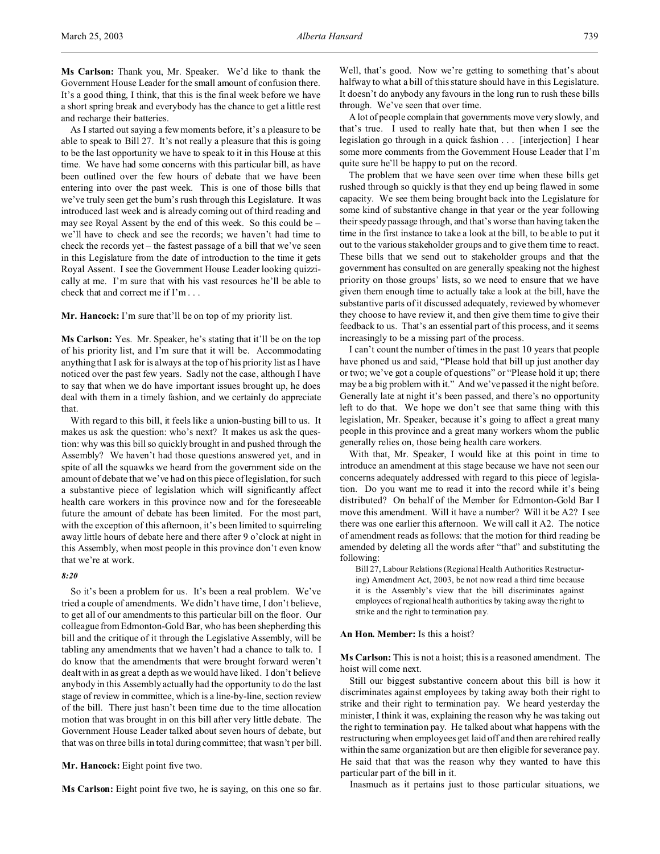**Ms Carlson:** Thank you, Mr. Speaker. We'd like to thank the Government House Leader for the small amount of confusion there. It's a good thing, I think, that this is the final week before we have a short spring break and everybody has the chance to get a little rest and recharge their batteries.

As I started out saying a few moments before, it's a pleasure to be able to speak to Bill 27. It's not really a pleasure that this is going to be the last opportunity we have to speak to it in this House at this time. We have had some concerns with this particular bill, as have been outlined over the few hours of debate that we have been entering into over the past week. This is one of those bills that we've truly seen get the bum's rush through this Legislature. It was introduced last week and is already coming out of third reading and may see Royal Assent by the end of this week. So this could be – we'll have to check and see the records; we haven't had time to check the records yet – the fastest passage of a bill that we've seen in this Legislature from the date of introduction to the time it gets Royal Assent. I see the Government House Leader looking quizzically at me. I'm sure that with his vast resources he'll be able to check that and correct me if I'm . . .

**Mr. Hancock:** I'm sure that'll be on top of my priority list.

**Ms Carlson:** Yes. Mr. Speaker, he's stating that it'll be on the top of his priority list, and I'm sure that it will be. Accommodating anything that I ask for is always at the top of his priority list as I have noticed over the past few years. Sadly not the case, although I have to say that when we do have important issues brought up, he does deal with them in a timely fashion, and we certainly do appreciate that.

With regard to this bill, it feels like a union-busting bill to us. It makes us ask the question: who's next? It makes us ask the question: why was this bill so quickly brought in and pushed through the Assembly? We haven't had those questions answered yet, and in spite of all the squawks we heard from the government side on the amount of debate that we've had on this piece of legislation, for such a substantive piece of legislation which will significantly affect health care workers in this province now and for the foreseeable future the amount of debate has been limited. For the most part, with the exception of this afternoon, it's been limited to squirreling away little hours of debate here and there after 9 o'clock at night in this Assembly, when most people in this province don't even know that we're at work.

### *8:20*

So it's been a problem for us. It's been a real problem. We've tried a couple of amendments. We didn't have time, I don't believe, to get all of our amendments to this particular bill on the floor. Our colleague from Edmonton-Gold Bar, who has been shepherding this bill and the critique of it through the Legislative Assembly, will be tabling any amendments that we haven't had a chance to talk to. I do know that the amendments that were brought forward weren't dealt with in as great a depth as we would have liked. I don't believe anybody in this Assembly actually had the opportunity to do the last stage of review in committee, which is a line-by-line, section review of the bill. There just hasn't been time due to the time allocation motion that was brought in on this bill after very little debate. The Government House Leader talked about seven hours of debate, but that was on three bills in total during committee; that wasn't per bill.

**Mr. Hancock:** Eight point five two.

**Ms Carlson:** Eight point five two, he is saying, on this one so far.

Well, that's good. Now we're getting to something that's about halfway to what a bill of this stature should have in this Legislature. It doesn't do anybody any favours in the long run to rush these bills through. We've seen that over time.

A lot of people complain that governments move very slowly, and that's true. I used to really hate that, but then when I see the legislation go through in a quick fashion . . . [interjection] I hear some more comments from the Government House Leader that I'm quite sure he'll be happy to put on the record.

The problem that we have seen over time when these bills get rushed through so quickly is that they end up being flawed in some capacity. We see them being brought back into the Legislature for some kind of substantive change in that year or the year following their speedy passage through, and that's worse than having taken the time in the first instance to take a look at the bill, to be able to put it out to the various stakeholder groups and to give them time to react. These bills that we send out to stakeholder groups and that the government has consulted on are generally speaking not the highest priority on those groups' lists, so we need to ensure that we have given them enough time to actually take a look at the bill, have the substantive parts of it discussed adequately, reviewed by whomever they choose to have review it, and then give them time to give their feedback to us. That's an essential part of this process, and it seems increasingly to be a missing part of the process.

I can't count the number of times in the past 10 years that people have phoned us and said, "Please hold that bill up just another day or two; we've got a couple of questions" or "Please hold it up; there may be a big problem with it." And we've passed it the night before. Generally late at night it's been passed, and there's no opportunity left to do that. We hope we don't see that same thing with this legislation, Mr. Speaker, because it's going to affect a great many people in this province and a great many workers whom the public generally relies on, those being health care workers.

With that, Mr. Speaker, I would like at this point in time to introduce an amendment at this stage because we have not seen our concerns adequately addressed with regard to this piece of legislation. Do you want me to read it into the record while it's being distributed? On behalf of the Member for Edmonton-Gold Bar I move this amendment. Will it have a number? Will it be A2? I see there was one earlier this afternoon. We will call it A2. The notice of amendment reads as follows: that the motion for third reading be amended by deleting all the words after "that" and substituting the following:

Bill 27, Labour Relations (Regional Health Authorities Restructuring) Amendment Act, 2003, be not now read a third time because it is the Assembly's view that the bill discriminates against employees of regional health authorities by taking away the right to strike and the right to termination pay.

### **An Hon. Member:** Is this a hoist?

**Ms Carlson:** This is not a hoist; this is a reasoned amendment. The hoist will come next.

Still our biggest substantive concern about this bill is how it discriminates against employees by taking away both their right to strike and their right to termination pay. We heard yesterday the minister, I think it was, explaining the reason why he was taking out the right to termination pay. He talked about what happens with the restructuring when employees get laid off and then are rehired really within the same organization but are then eligible for severance pay. He said that that was the reason why they wanted to have this particular part of the bill in it.

Inasmuch as it pertains just to those particular situations, we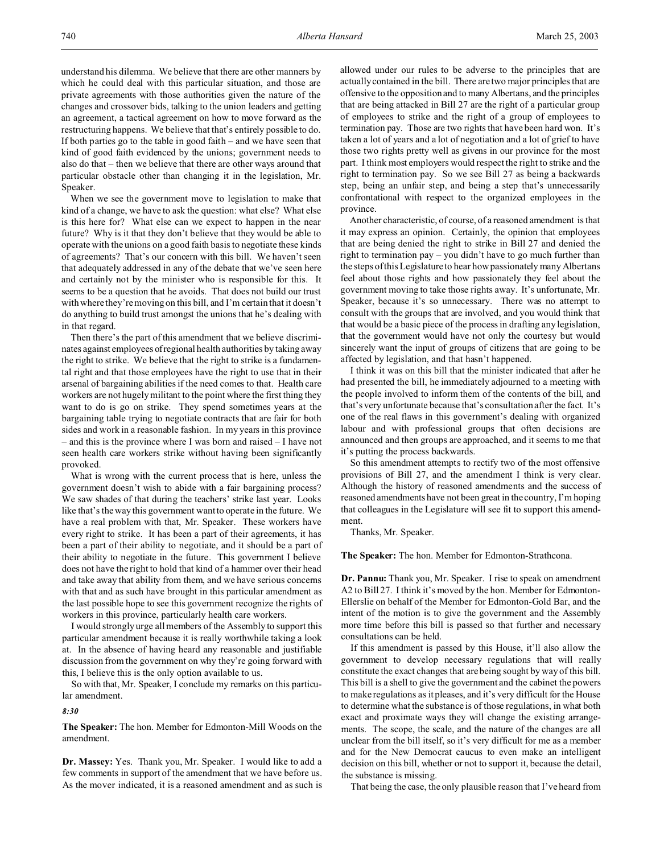understand his dilemma. We believe that there are other manners by which he could deal with this particular situation, and those are private agreements with those authorities given the nature of the changes and crossover bids, talking to the union leaders and getting an agreement, a tactical agreement on how to move forward as the restructuring happens. We believe that that's entirely possible to do. If both parties go to the table in good faith – and we have seen that kind of good faith evidenced by the unions; government needs to also do that – then we believe that there are other ways around that particular obstacle other than changing it in the legislation, Mr. Speaker.

When we see the government move to legislation to make that kind of a change, we have to ask the question: what else? What else is this here for? What else can we expect to happen in the near future? Why is it that they don't believe that they would be able to operate with the unions on a good faith basis to negotiate these kinds of agreements? That's our concern with this bill. We haven't seen that adequately addressed in any of the debate that we've seen here and certainly not by the minister who is responsible for this. It seems to be a question that he avoids. That does not build our trust with where they're moving on this bill, and I'm certain that it doesn't do anything to build trust amongst the unions that he's dealing with in that regard.

Then there's the part of this amendment that we believe discriminates against employees ofregional health authorities by taking away the right to strike. We believe that the right to strike is a fundamental right and that those employees have the right to use that in their arsenal of bargaining abilities if the need comes to that. Health care workers are not hugely militant to the point where the first thing they want to do is go on strike. They spend sometimes years at the bargaining table trying to negotiate contracts that are fair for both sides and work in a reasonable fashion. In my years in this province – and this is the province where I was born and raised – I have not seen health care workers strike without having been significantly provoked.

What is wrong with the current process that is here, unless the government doesn't wish to abide with a fair bargaining process? We saw shades of that during the teachers' strike last year. Looks like that's the way this government want to operate in the future. We have a real problem with that, Mr. Speaker. These workers have every right to strike. It has been a part of their agreements, it has been a part of their ability to negotiate, and it should be a part of their ability to negotiate in the future. This government I believe does not have the right to hold that kind of a hammer over their head and take away that ability from them, and we have serious concerns with that and as such have brought in this particular amendment as the last possible hope to see this government recognize the rights of workers in this province, particularly health care workers.

I would strongly urge all members of the Assembly to support this particular amendment because it is really worthwhile taking a look at. In the absence of having heard any reasonable and justifiable discussion from the government on why they're going forward with this, I believe this is the only option available to us.

So with that, Mr. Speaker, I conclude my remarks on this particular amendment.

# *8:30*

**The Speaker:** The hon. Member for Edmonton-Mill Woods on the amendment.

**Dr. Massey:** Yes. Thank you, Mr. Speaker. I would like to add a few comments in support of the amendment that we have before us. As the mover indicated, it is a reasoned amendment and as such is

allowed under our rules to be adverse to the principles that are actually contained in the bill. There are two major principles that are offensive to the opposition and to many Albertans, and the principles that are being attacked in Bill 27 are the right of a particular group of employees to strike and the right of a group of employees to termination pay. Those are two rights that have been hard won. It's taken a lot of years and a lot of negotiation and a lot of grief to have those two rights pretty well as givens in our province for the most part. I think most employers would respect the right to strike and the right to termination pay. So we see Bill 27 as being a backwards step, being an unfair step, and being a step that's unnecessarily confrontational with respect to the organized employees in the province.

Another characteristic, of course, of a reasoned amendment is that it may express an opinion. Certainly, the opinion that employees that are being denied the right to strike in Bill 27 and denied the right to termination pay – you didn't have to go much further than the steps of this Legislature to hear how passionately many Albertans feel about those rights and how passionately they feel about the government moving to take those rights away. It's unfortunate, Mr. Speaker, because it's so unnecessary. There was no attempt to consult with the groups that are involved, and you would think that that would be a basic piece of the process in drafting any legislation, that the government would have not only the courtesy but would sincerely want the input of groups of citizens that are going to be affected by legislation, and that hasn't happened.

I think it was on this bill that the minister indicated that after he had presented the bill, he immediately adjourned to a meeting with the people involved to inform them of the contents of the bill, and that's very unfortunate because that's consultation after the fact. It's one of the real flaws in this government's dealing with organized labour and with professional groups that often decisions are announced and then groups are approached, and it seems to me that it's putting the process backwards.

So this amendment attempts to rectify two of the most offensive provisions of Bill 27, and the amendment I think is very clear. Although the history of reasoned amendments and the success of reasoned amendments have not been great in the country, I'm hoping that colleagues in the Legislature will see fit to support this amendment.

Thanks, Mr. Speaker.

**The Speaker:** The hon. Member for Edmonton-Strathcona.

**Dr. Pannu:** Thank you, Mr. Speaker. I rise to speak on amendment A2 to Bill 27. I think it's moved by the hon. Member for Edmonton-Ellerslie on behalf of the Member for Edmonton-Gold Bar, and the intent of the motion is to give the government and the Assembly more time before this bill is passed so that further and necessary consultations can be held.

If this amendment is passed by this House, it'll also allow the government to develop necessary regulations that will really constitute the exact changes that are being sought by way of this bill. This bill is a shell to give the government and the cabinet the powers to make regulations as it pleases, and it's very difficult for the House to determine what the substance is of those regulations, in what both exact and proximate ways they will change the existing arrangements. The scope, the scale, and the nature of the changes are all unclear from the bill itself, so it's very difficult for me as a member and for the New Democrat caucus to even make an intelligent decision on this bill, whether or not to support it, because the detail, the substance is missing.

That being the case, the only plausible reason that I've heard from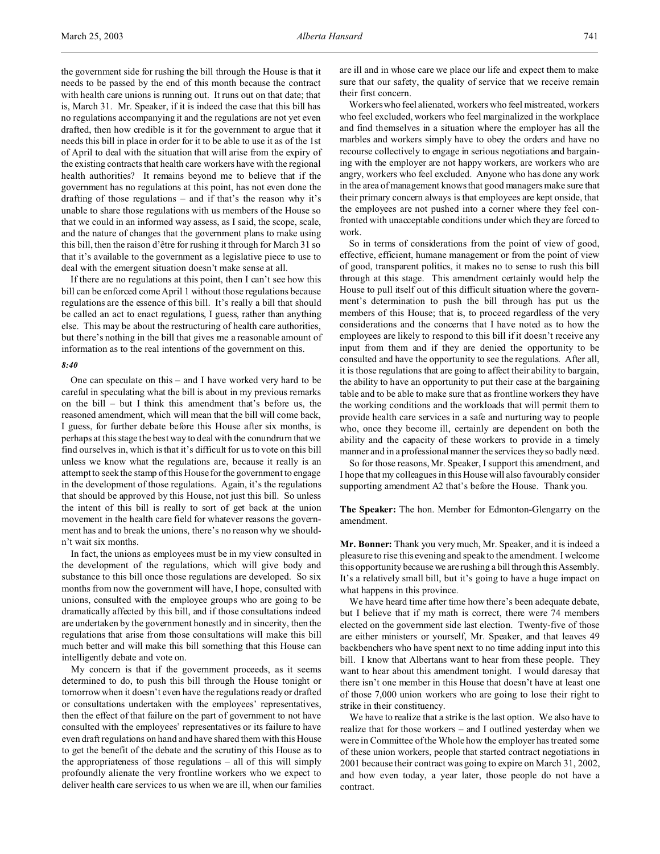the government side for rushing the bill through the House is that it needs to be passed by the end of this month because the contract with health care unions is running out. It runs out on that date; that is, March 31. Mr. Speaker, if it is indeed the case that this bill has no regulations accompanying it and the regulations are not yet even drafted, then how credible is it for the government to argue that it needs this bill in place in order for it to be able to use it as of the 1st of April to deal with the situation that will arise from the expiry of the existing contracts that health care workers have with the regional health authorities? It remains beyond me to believe that if the government has no regulations at this point, has not even done the drafting of those regulations – and if that's the reason why it's unable to share those regulations with us members of the House so that we could in an informed way assess, as I said, the scope, scale, and the nature of changes that the government plans to make using this bill, then the raison d'être for rushing it through for March 31 so that it's available to the government as a legislative piece to use to deal with the emergent situation doesn't make sense at all.

If there are no regulations at this point, then I can't see how this bill can be enforced come April 1 without those regulations because regulations are the essence of this bill. It's really a bill that should be called an act to enact regulations, I guess, rather than anything else. This may be about the restructuring of health care authorities, but there's nothing in the bill that gives me a reasonable amount of information as to the real intentions of the government on this.

### *8:40*

One can speculate on this – and I have worked very hard to be careful in speculating what the bill is about in my previous remarks on the bill – but I think this amendment that's before us, the reasoned amendment, which will mean that the bill will come back, I guess, for further debate before this House after six months, is perhaps at this stage the best way to deal with the conundrum that we find ourselves in, which is that it's difficult for us to vote on this bill unless we know what the regulations are, because it really is an attempt to seek the stamp of this House for the government to engage in the development of those regulations. Again, it's the regulations that should be approved by this House, not just this bill. So unless the intent of this bill is really to sort of get back at the union movement in the health care field for whatever reasons the government has and to break the unions, there's no reason why we shouldn't wait six months.

In fact, the unions as employees must be in my view consulted in the development of the regulations, which will give body and substance to this bill once those regulations are developed. So six months from now the government will have, I hope, consulted with unions, consulted with the employee groups who are going to be dramatically affected by this bill, and if those consultations indeed are undertaken by the government honestly and in sincerity, then the regulations that arise from those consultations will make this bill much better and will make this bill something that this House can intelligently debate and vote on.

My concern is that if the government proceeds, as it seems determined to do, to push this bill through the House tonight or tomorrow when it doesn't even have the regulations ready or drafted or consultations undertaken with the employees' representatives, then the effect of that failure on the part of government to not have consulted with the employees' representatives or its failure to have even draft regulations on hand and have shared them with this House to get the benefit of the debate and the scrutiny of this House as to the appropriateness of those regulations – all of this will simply profoundly alienate the very frontline workers who we expect to deliver health care services to us when we are ill, when our families

are ill and in whose care we place our life and expect them to make sure that our safety, the quality of service that we receive remain their first concern.

Workers who feel alienated, workers who feel mistreated, workers who feel excluded, workers who feel marginalized in the workplace and find themselves in a situation where the employer has all the marbles and workers simply have to obey the orders and have no recourse collectively to engage in serious negotiations and bargaining with the employer are not happy workers, are workers who are angry, workers who feel excluded. Anyone who has done any work in the area of management knows that good managers make sure that their primary concern always is that employees are kept onside, that the employees are not pushed into a corner where they feel confronted with unacceptable conditions under which they are forced to work.

So in terms of considerations from the point of view of good, effective, efficient, humane management or from the point of view of good, transparent politics, it makes no to sense to rush this bill through at this stage. This amendment certainly would help the House to pull itself out of this difficult situation where the government's determination to push the bill through has put us the members of this House; that is, to proceed regardless of the very considerations and the concerns that I have noted as to how the employees are likely to respond to this bill if it doesn't receive any input from them and if they are denied the opportunity to be consulted and have the opportunity to see the regulations. After all, it is those regulations that are going to affect their ability to bargain, the ability to have an opportunity to put their case at the bargaining table and to be able to make sure that as frontline workers they have the working conditions and the workloads that will permit them to provide health care services in a safe and nurturing way to people who, once they become ill, certainly are dependent on both the ability and the capacity of these workers to provide in a timely manner and in a professional manner the services they so badly need.

So for those reasons, Mr. Speaker, I support this amendment, and I hope that my colleagues in this House will also favourably consider supporting amendment A2 that's before the House. Thank you.

**The Speaker:** The hon. Member for Edmonton-Glengarry on the amendment.

**Mr. Bonner:** Thank you very much, Mr. Speaker, and it is indeed a pleasure to rise this evening and speak to the amendment. I welcome this opportunity because we are rushing a bill through this Assembly. It's a relatively small bill, but it's going to have a huge impact on what happens in this province.

We have heard time after time how there's been adequate debate, but I believe that if my math is correct, there were 74 members elected on the government side last election. Twenty-five of those are either ministers or yourself, Mr. Speaker, and that leaves 49 backbenchers who have spent next to no time adding input into this bill. I know that Albertans want to hear from these people. They want to hear about this amendment tonight. I would daresay that there isn't one member in this House that doesn't have at least one of those 7,000 union workers who are going to lose their right to strike in their constituency.

We have to realize that a strike is the last option. We also have to realize that for those workers – and I outlined yesterday when we were in Committee of the Whole how the employer has treated some of these union workers, people that started contract negotiations in 2001 because their contract was going to expire on March 31, 2002, and how even today, a year later, those people do not have a contract.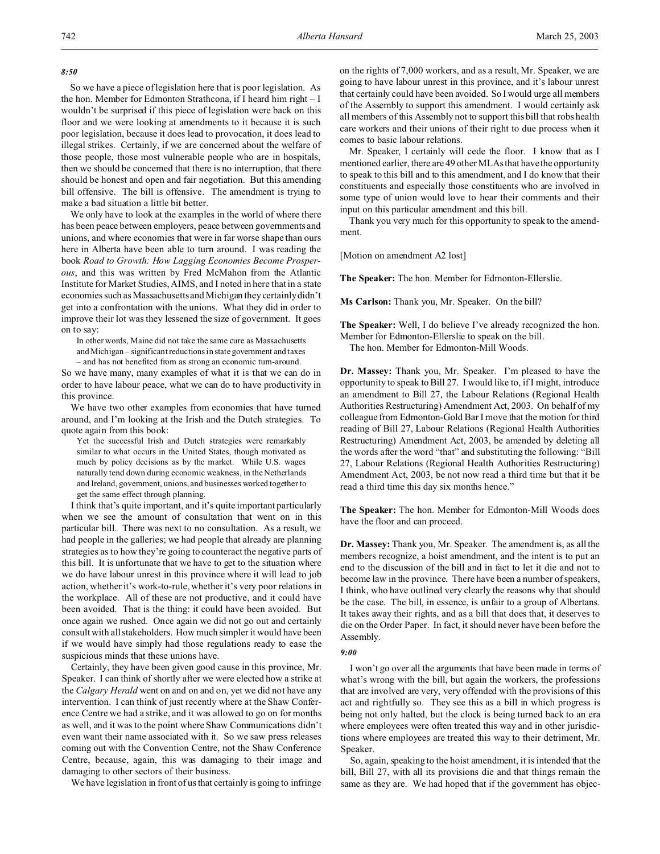### *8:50*

So we have a piece of legislation here that is poor legislation. As the hon. Member for Edmonton Strathcona, if I heard him right – I wouldn't be surprised if this piece of legislation were back on this floor and we were looking at amendments to it because it is such poor legislation, because it does lead to provocation, it does lead to illegal strikes. Certainly, if we are concerned about the welfare of those people, those most vulnerable people who are in hospitals, then we should be concerned that there is no interruption, that there should be honest and open and fair negotiation. But this amending bill offensive. The bill is offensive. The amendment is trying to make a bad situation a little bit better.

We only have to look at the examples in the world of where there has been peace between employers, peace between governments and unions, and where economies that were in far worse shape than ours here in Alberta have been able to turn around. I was reading the book *Road to Growth: How Lagging Economies Become Prosperous*, and this was written by Fred McMahon from the Atlantic Institute for Market Studies, AIMS, and I noted in here that in a state economies such as Massachusetts and Michigan they certainly didn't get into a confrontation with the unions. What they did in order to improve their lot was they lessened the size of government. It goes on to say:

In other words, Maine did not take the same cure as Massachusetts and Michigan – significant reductions in state government and taxes – and has not benefited from as strong an economic turn-around.

So we have many, many examples of what it is that we can do in order to have labour peace, what we can do to have productivity in this province.

We have two other examples from economies that have turned around, and I'm looking at the Irish and the Dutch strategies. To quote again from this book:

Yet the successful Irish and Dutch strategies were remarkably similar to what occurs in the United States, though motivated as much by policy decisions as by the market. While U.S. wages naturally tend down during economic weakness, in the Netherlands and Ireland, government, unions, and businesses worked together to get the same effect through planning.

I think that's quite important, and it's quite important particularly when we see the amount of consultation that went on in this particular bill. There was next to no consultation. As a result, we had people in the galleries; we had people that already are planning strategies as to how they're going to counteract the negative parts of this bill. It is unfortunate that we have to get to the situation where we do have labour unrest in this province where it will lead to job action, whether it's work-to-rule, whether it's very poor relations in the workplace. All of these are not productive, and it could have been avoided. That is the thing: it could have been avoided. But once again we rushed. Once again we did not go out and certainly consult with all stakeholders. How much simpler it would have been if we would have simply had those regulations ready to ease the suspicious minds that these unions have.

Certainly, they have been given good cause in this province, Mr. Speaker. I can think of shortly after we were elected how a strike at the *Calgary Herald* went on and on and on, yet we did not have any intervention. I can think of just recently where at the Shaw Conference Centre we had a strike, and it was allowed to go on for months as well, and it was to the point where Shaw Communications didn't even want their name associated with it. So we saw press releases coming out with the Convention Centre, not the Shaw Conference Centre, because, again, this was damaging to their image and damaging to other sectors of their business.

We have legislation in front of us that certainly is going to infringe

on the rights of 7,000 workers, and as a result, Mr. Speaker, we are going to have labour unrest in this province, and it's labour unrest that certainly could have been avoided. So I would urge all members of the Assembly to support this amendment. I would certainly ask all members of this Assembly not to support this bill that robs health care workers and their unions of their right to due process when it comes to basic labour relations.

Mr. Speaker, I certainly will cede the floor. I know that as I mentioned earlier, there are 49 other MLAs that have the opportunity to speak to this bill and to this amendment, and I do know that their constituents and especially those constituents who are involved in some type of union would love to hear their comments and their input on this particular amendment and this bill.

Thank you very much for this opportunity to speak to the amendment.

[Motion on amendment A2 lost]

**The Speaker:** The hon. Member for Edmonton-Ellerslie.

**Ms Carlson:** Thank you, Mr. Speaker. On the bill?

**The Speaker:** Well, I do believe I've already recognized the hon. Member for Edmonton-Ellerslie to speak on the bill. The hon. Member for Edmonton-Mill Woods.

**Dr. Massey:** Thank you, Mr. Speaker. I'm pleased to have the opportunity to speak to Bill 27. I would like to, if I might, introduce an amendment to Bill 27, the Labour Relations (Regional Health Authorities Restructuring) Amendment Act, 2003. On behalf of my colleague from Edmonton-Gold Bar I move that the motion for third reading of Bill 27, Labour Relations (Regional Health Authorities Restructuring) Amendment Act, 2003, be amended by deleting all the words after the word "that" and substituting the following: "Bill 27, Labour Relations (Regional Health Authorities Restructuring) Amendment Act, 2003, be not now read a third time but that it be read a third time this day six months hence."

**The Speaker:** The hon. Member for Edmonton-Mill Woods does have the floor and can proceed.

**Dr. Massey:** Thank you, Mr. Speaker. The amendment is, as all the members recognize, a hoist amendment, and the intent is to put an end to the discussion of the bill and in fact to let it die and not to become law in the province. There have been a number of speakers, I think, who have outlined very clearly the reasons why that should be the case. The bill, in essence, is unfair to a group of Albertans. It takes away their rights, and as a bill that does that, it deserves to die on the Order Paper. In fact, it should never have been before the Assembly.

#### *9:00*

I won't go over all the arguments that have been made in terms of what's wrong with the bill, but again the workers, the professions that are involved are very, very offended with the provisions of this act and rightfully so. They see this as a bill in which progress is being not only halted, but the clock is being turned back to an era where employees were often treated this way and in other jurisdictions where employees are treated this way to their detriment, Mr. Speaker.

So, again, speaking to the hoist amendment, it is intended that the bill, Bill 27, with all its provisions die and that things remain the same as they are. We had hoped that if the government has objec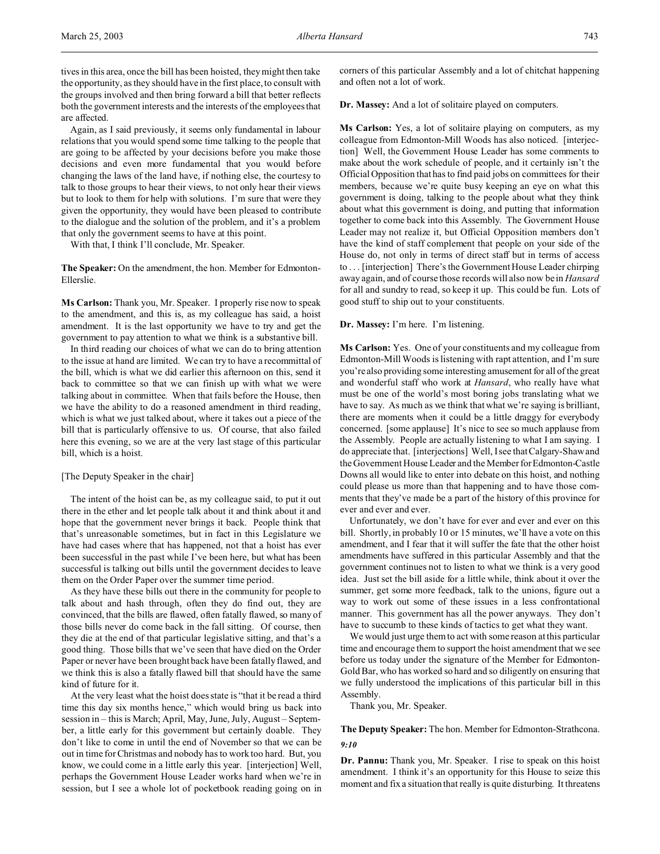tives in this area, once the bill has been hoisted, they might then take the opportunity, as they should have in the first place, to consult with the groups involved and then bring forward a bill that better reflects both the government interests and the interests of the employees that are affected.

Again, as I said previously, it seems only fundamental in labour relations that you would spend some time talking to the people that are going to be affected by your decisions before you make those decisions and even more fundamental that you would before changing the laws of the land have, if nothing else, the courtesy to talk to those groups to hear their views, to not only hear their views but to look to them for help with solutions. I'm sure that were they given the opportunity, they would have been pleased to contribute to the dialogue and the solution of the problem, and it's a problem that only the government seems to have at this point.

With that, I think I'll conclude, Mr. Speaker.

**The Speaker:** On the amendment, the hon. Member for Edmonton-Ellerslie.

**Ms Carlson:** Thank you, Mr. Speaker. I properly rise now to speak to the amendment, and this is, as my colleague has said, a hoist amendment. It is the last opportunity we have to try and get the government to pay attention to what we think is a substantive bill.

In third reading our choices of what we can do to bring attention to the issue at hand are limited. We can try to have a recommittal of the bill, which is what we did earlier this afternoon on this, send it back to committee so that we can finish up with what we were talking about in committee. When that fails before the House, then we have the ability to do a reasoned amendment in third reading, which is what we just talked about, where it takes out a piece of the bill that is particularly offensive to us. Of course, that also failed here this evening, so we are at the very last stage of this particular bill, which is a hoist.

### [The Deputy Speaker in the chair]

The intent of the hoist can be, as my colleague said, to put it out there in the ether and let people talk about it and think about it and hope that the government never brings it back. People think that that's unreasonable sometimes, but in fact in this Legislature we have had cases where that has happened, not that a hoist has ever been successful in the past while I've been here, but what has been successful is talking out bills until the government decides to leave them on the Order Paper over the summer time period.

As they have these bills out there in the community for people to talk about and hash through, often they do find out, they are convinced, that the bills are flawed, often fatally flawed, so many of those bills never do come back in the fall sitting. Of course, then they die at the end of that particular legislative sitting, and that's a good thing. Those bills that we've seen that have died on the Order Paper or never have been brought back have been fatally flawed, and we think this is also a fatally flawed bill that should have the same kind of future for it.

At the very least what the hoist does state is "that it be read a third time this day six months hence," which would bring us back into session in – this is March; April, May, June, July, August – September, a little early for this government but certainly doable. They don't like to come in until the end of November so that we can be out in time for Christmas and nobody has to work too hard. But, you know, we could come in a little early this year. [interjection] Well, perhaps the Government House Leader works hard when we're in session, but I see a whole lot of pocketbook reading going on in corners of this particular Assembly and a lot of chitchat happening and often not a lot of work.

**Dr. Massey:** And a lot of solitaire played on computers.

**Ms Carlson:** Yes, a lot of solitaire playing on computers, as my colleague from Edmonton-Mill Woods has also noticed. [interjection] Well, the Government House Leader has some comments to make about the work schedule of people, and it certainly isn't the Official Opposition that has to find paid jobs on committees for their members, because we're quite busy keeping an eye on what this government is doing, talking to the people about what they think about what this government is doing, and putting that information together to come back into this Assembly. The Government House Leader may not realize it, but Official Opposition members don't have the kind of staff complement that people on your side of the House do, not only in terms of direct staff but in terms of access to . . . [interjection] There's the Government House Leader chirping away again, and of course those records will also now be in *Hansard* for all and sundry to read, so keep it up. This could be fun. Lots of good stuff to ship out to your constituents.

### **Dr. Massey:** I'm here. I'm listening.

**Ms Carlson:** Yes. One of your constituents and my colleague from Edmonton-Mill Woods is listening with rapt attention, and I'm sure you're also providing some interesting amusement for all of the great and wonderful staff who work at *Hansard*, who really have what must be one of the world's most boring jobs translating what we have to say. As much as we think that what we're saying is brilliant, there are moments when it could be a little draggy for everybody concerned. [some applause] It's nice to see so much applause from the Assembly. People are actually listening to what I am saying. I do appreciate that. [interjections] Well, I see that Calgary-Shaw and the Government House Leader and the Member for Edmonton-Castle Downs all would like to enter into debate on this hoist, and nothing could please us more than that happening and to have those comments that they've made be a part of the history of this province for ever and ever and ever.

Unfortunately, we don't have for ever and ever and ever on this bill. Shortly, in probably 10 or 15 minutes, we'll have a vote on this amendment, and I fear that it will suffer the fate that the other hoist amendments have suffered in this particular Assembly and that the government continues not to listen to what we think is a very good idea. Just set the bill aside for a little while, think about it over the summer, get some more feedback, talk to the unions, figure out a way to work out some of these issues in a less confrontational manner. This government has all the power anyways. They don't have to succumb to these kinds of tactics to get what they want.

We would just urge them to act with some reason at this particular time and encourage them to support the hoist amendment that we see before us today under the signature of the Member for Edmonton-Gold Bar, who has worked so hard and so diligently on ensuring that we fully understood the implications of this particular bill in this Assembly.

Thank you, Mr. Speaker.

# **The Deputy Speaker:** The hon. Member for Edmonton-Strathcona. *9:10*

**Dr. Pannu:** Thank you, Mr. Speaker. I rise to speak on this hoist amendment. I think it's an opportunity for this House to seize this moment and fix a situation that really is quite disturbing. It threatens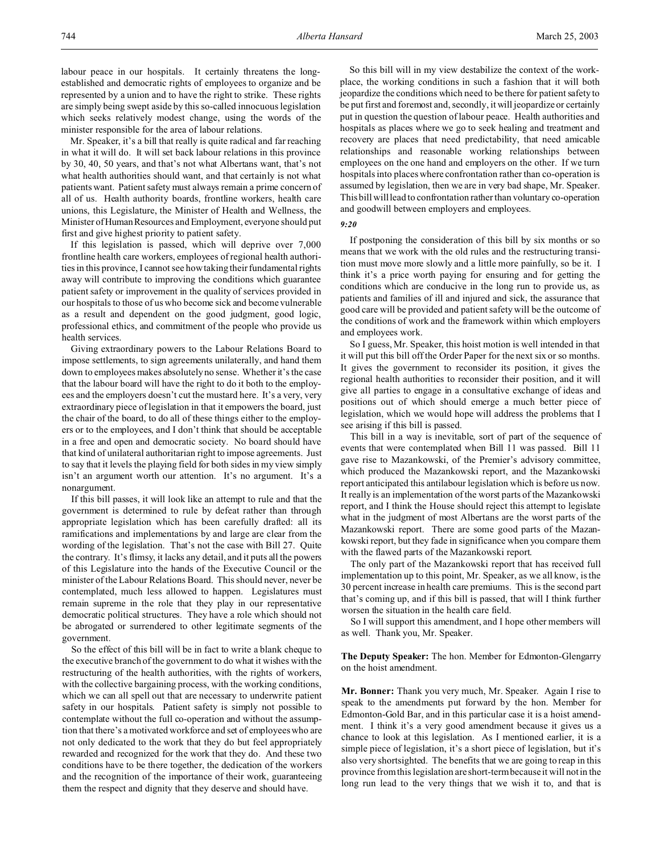labour peace in our hospitals. It certainly threatens the longestablished and democratic rights of employees to organize and be represented by a union and to have the right to strike. These rights are simply being swept aside by this so-called innocuous legislation which seeks relatively modest change, using the words of the minister responsible for the area of labour relations.

Mr. Speaker, it's a bill that really is quite radical and far reaching in what it will do. It will set back labour relations in this province by 30, 40, 50 years, and that's not what Albertans want, that's not what health authorities should want, and that certainly is not what patients want. Patient safety must always remain a prime concern of all of us. Health authority boards, frontline workers, health care unions, this Legislature, the Minister of Health and Wellness, the Minister of Human Resources and Employment, everyone should put first and give highest priority to patient safety.

If this legislation is passed, which will deprive over 7,000 frontline health care workers, employees of regional health authorities in this province, I cannot see how taking their fundamental rights away will contribute to improving the conditions which guarantee patient safety or improvement in the quality of services provided in our hospitals to those of us who become sick and become vulnerable as a result and dependent on the good judgment, good logic, professional ethics, and commitment of the people who provide us health services.

Giving extraordinary powers to the Labour Relations Board to impose settlements, to sign agreements unilaterally, and hand them down to employees makes absolutely no sense. Whether it's the case that the labour board will have the right to do it both to the employees and the employers doesn't cut the mustard here. It's a very, very extraordinary piece of legislation in that it empowers the board, just the chair of the board, to do all of these things either to the employers or to the employees, and I don't think that should be acceptable in a free and open and democratic society. No board should have that kind of unilateral authoritarian right to impose agreements. Just to say that it levels the playing field for both sides in my view simply isn't an argument worth our attention. It's no argument. It's a nonargument.

If this bill passes, it will look like an attempt to rule and that the government is determined to rule by defeat rather than through appropriate legislation which has been carefully drafted: all its ramifications and implementations by and large are clear from the wording of the legislation. That's not the case with Bill 27. Quite the contrary. It's flimsy, it lacks any detail, and it puts all the powers of this Legislature into the hands of the Executive Council or the minister of the Labour Relations Board. This should never, never be contemplated, much less allowed to happen. Legislatures must remain supreme in the role that they play in our representative democratic political structures. They have a role which should not be abrogated or surrendered to other legitimate segments of the government.

So the effect of this bill will be in fact to write a blank cheque to the executive branch of the government to do what it wishes with the restructuring of the health authorities, with the rights of workers, with the collective bargaining process, with the working conditions, which we can all spell out that are necessary to underwrite patient safety in our hospitals. Patient safety is simply not possible to contemplate without the full co-operation and without the assumption that there's a motivated workforce and set of employees who are not only dedicated to the work that they do but feel appropriately rewarded and recognized for the work that they do. And these two conditions have to be there together, the dedication of the workers and the recognition of the importance of their work, guaranteeing them the respect and dignity that they deserve and should have.

So this bill will in my view destabilize the context of the workplace, the working conditions in such a fashion that it will both jeopardize the conditions which need to be there for patient safety to be put first and foremost and, secondly, it will jeopardize or certainly put in question the question of labour peace. Health authorities and hospitals as places where we go to seek healing and treatment and recovery are places that need predictability, that need amicable relationships and reasonable working relationships between employees on the one hand and employers on the other. If we turn hospitals into places where confrontation rather than co-operation is assumed by legislation, then we are in very bad shape, Mr. Speaker. This bill will lead to confrontation rather than voluntary co-operation and goodwill between employers and employees.

### *9:20*

If postponing the consideration of this bill by six months or so means that we work with the old rules and the restructuring transition must move more slowly and a little more painfully, so be it. I think it's a price worth paying for ensuring and for getting the conditions which are conducive in the long run to provide us, as patients and families of ill and injured and sick, the assurance that good care will be provided and patient safety will be the outcome of the conditions of work and the framework within which employers and employees work.

So I guess, Mr. Speaker, this hoist motion is well intended in that it will put this bill off the Order Paper for the next six or so months. It gives the government to reconsider its position, it gives the regional health authorities to reconsider their position, and it will give all parties to engage in a consultative exchange of ideas and positions out of which should emerge a much better piece of legislation, which we would hope will address the problems that I see arising if this bill is passed.

This bill in a way is inevitable, sort of part of the sequence of events that were contemplated when Bill 11 was passed. Bill 11 gave rise to Mazankowski, of the Premier's advisory committee, which produced the Mazankowski report, and the Mazankowski report anticipated this antilabour legislation which is before us now. It really is an implementation of the worst parts of the Mazankowski report, and I think the House should reject this attempt to legislate what in the judgment of most Albertans are the worst parts of the Mazankowski report. There are some good parts of the Mazankowski report, but they fade in significance when you compare them with the flawed parts of the Mazankowski report.

The only part of the Mazankowski report that has received full implementation up to this point, Mr. Speaker, as we all know, is the 30 percent increase in health care premiums. This is the second part that's coming up, and if this bill is passed, that will I think further worsen the situation in the health care field.

So I will support this amendment, and I hope other members will as well. Thank you, Mr. Speaker.

**The Deputy Speaker:** The hon. Member for Edmonton-Glengarry on the hoist amendment.

**Mr. Bonner:** Thank you very much, Mr. Speaker. Again I rise to speak to the amendments put forward by the hon. Member for Edmonton-Gold Bar, and in this particular case it is a hoist amendment. I think it's a very good amendment because it gives us a chance to look at this legislation. As I mentioned earlier, it is a simple piece of legislation, it's a short piece of legislation, but it's also very shortsighted. The benefits that we are going to reap in this province from this legislation are short-term because it will not in the long run lead to the very things that we wish it to, and that is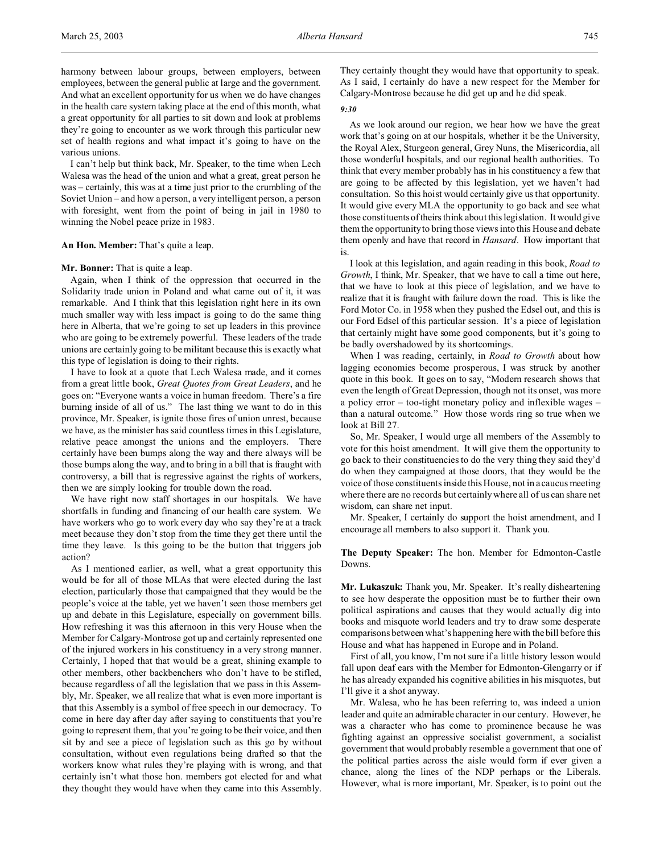harmony between labour groups, between employers, between employees, between the general public at large and the government. And what an excellent opportunity for us when we do have changes in the health care system taking place at the end of this month, what a great opportunity for all parties to sit down and look at problems they're going to encounter as we work through this particular new set of health regions and what impact it's going to have on the various unions.

I can't help but think back, Mr. Speaker, to the time when Lech Walesa was the head of the union and what a great, great person he was – certainly, this was at a time just prior to the crumbling of the Soviet Union – and how a person, a very intelligent person, a person with foresight, went from the point of being in jail in 1980 to winning the Nobel peace prize in 1983.

### **An Hon. Member:** That's quite a leap.

### **Mr. Bonner:** That is quite a leap.

Again, when I think of the oppression that occurred in the Solidarity trade union in Poland and what came out of it, it was remarkable. And I think that this legislation right here in its own much smaller way with less impact is going to do the same thing here in Alberta, that we're going to set up leaders in this province who are going to be extremely powerful. These leaders of the trade unions are certainly going to be militant because this is exactly what this type of legislation is doing to their rights.

I have to look at a quote that Lech Walesa made, and it comes from a great little book, *Great Quotes from Great Leaders*, and he goes on: "Everyone wants a voice in human freedom. There's a fire burning inside of all of us." The last thing we want to do in this province, Mr. Speaker, is ignite those fires of union unrest, because we have, as the minister has said countless times in this Legislature, relative peace amongst the unions and the employers. There certainly have been bumps along the way and there always will be those bumps along the way, and to bring in a bill that is fraught with controversy, a bill that is regressive against the rights of workers, then we are simply looking for trouble down the road.

We have right now staff shortages in our hospitals. We have shortfalls in funding and financing of our health care system. We have workers who go to work every day who say they're at a track meet because they don't stop from the time they get there until the time they leave. Is this going to be the button that triggers job action?

As I mentioned earlier, as well, what a great opportunity this would be for all of those MLAs that were elected during the last election, particularly those that campaigned that they would be the people's voice at the table, yet we haven't seen those members get up and debate in this Legislature, especially on government bills. How refreshing it was this afternoon in this very House when the Member for Calgary-Montrose got up and certainly represented one of the injured workers in his constituency in a very strong manner. Certainly, I hoped that that would be a great, shining example to other members, other backbenchers who don't have to be stifled, because regardless of all the legislation that we pass in this Assembly, Mr. Speaker, we all realize that what is even more important is that this Assembly is a symbol of free speech in our democracy. To come in here day after day after saying to constituents that you're going to represent them, that you're going to be their voice, and then sit by and see a piece of legislation such as this go by without consultation, without even regulations being drafted so that the workers know what rules they're playing with is wrong, and that certainly isn't what those hon. members got elected for and what they thought they would have when they came into this Assembly.

They certainly thought they would have that opportunity to speak. As I said, I certainly do have a new respect for the Member for Calgary-Montrose because he did get up and he did speak.

### *9:30*

As we look around our region, we hear how we have the great work that's going on at our hospitals, whether it be the University, the Royal Alex, Sturgeon general, Grey Nuns, the Misericordia, all those wonderful hospitals, and our regional health authorities. To think that every member probably has in his constituency a few that are going to be affected by this legislation, yet we haven't had consultation. So this hoist would certainly give us that opportunity. It would give every MLA the opportunity to go back and see what those constituents of theirs think about this legislation. It would give them the opportunity to bring those views into this House and debate them openly and have that record in *Hansard*. How important that is.

I look at this legislation, and again reading in this book, *Road to Growth*, I think, Mr. Speaker, that we have to call a time out here, that we have to look at this piece of legislation, and we have to realize that it is fraught with failure down the road. This is like the Ford Motor Co. in 1958 when they pushed the Edsel out, and this is our Ford Edsel of this particular session. It's a piece of legislation that certainly might have some good components, but it's going to be badly overshadowed by its shortcomings.

When I was reading, certainly, in *Road to Growth* about how lagging economies become prosperous, I was struck by another quote in this book. It goes on to say, "Modern research shows that even the length of Great Depression, though not its onset, was more a policy error – too-tight monetary policy and inflexible wages – than a natural outcome." How those words ring so true when we look at Bill 27.

So, Mr. Speaker, I would urge all members of the Assembly to vote for this hoist amendment. It will give them the opportunity to go back to their constituencies to do the very thing they said they'd do when they campaigned at those doors, that they would be the voice of those constituents inside this House, not in a caucus meeting where there are no records but certainly where all of us can share net wisdom, can share net input.

Mr. Speaker, I certainly do support the hoist amendment, and I encourage all members to also support it. Thank you.

**The Deputy Speaker:** The hon. Member for Edmonton-Castle Downs.

**Mr. Lukaszuk:** Thank you, Mr. Speaker. It's really disheartening to see how desperate the opposition must be to further their own political aspirations and causes that they would actually dig into books and misquote world leaders and try to draw some desperate comparisons between what's happening here with the bill before this House and what has happened in Europe and in Poland.

First of all, you know, I'm not sure if a little history lesson would fall upon deaf ears with the Member for Edmonton-Glengarry or if he has already expanded his cognitive abilities in his misquotes, but I'll give it a shot anyway.

Mr. Walesa, who he has been referring to, was indeed a union leader and quite an admirable character in our century. However, he was a character who has come to prominence because he was fighting against an oppressive socialist government, a socialist government that would probably resemble a government that one of the political parties across the aisle would form if ever given a chance, along the lines of the NDP perhaps or the Liberals. However, what is more important, Mr. Speaker, is to point out the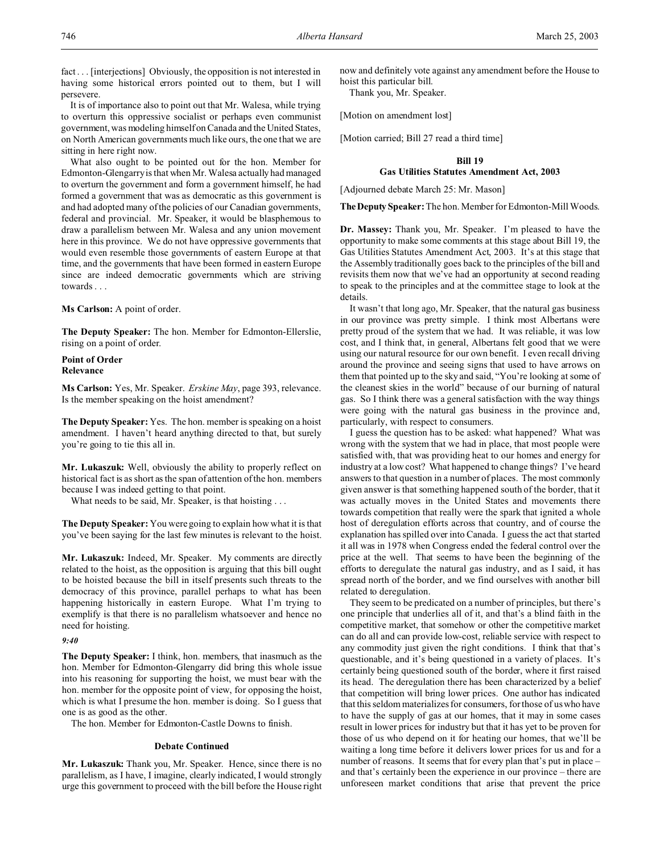fact . . . [interjections] Obviously, the opposition is not interested in having some historical errors pointed out to them, but I will persevere.

It is of importance also to point out that Mr. Walesa, while trying to overturn this oppressive socialist or perhaps even communist government, was modeling himself on Canada and the United States, on North American governments much like ours, the one that we are sitting in here right now.

What also ought to be pointed out for the hon. Member for Edmonton-Glengarry is that when Mr. Walesa actually had managed to overturn the government and form a government himself, he had formed a government that was as democratic as this government is and had adopted many of the policies of our Canadian governments, federal and provincial. Mr. Speaker, it would be blasphemous to draw a parallelism between Mr. Walesa and any union movement here in this province. We do not have oppressive governments that would even resemble those governments of eastern Europe at that time, and the governments that have been formed in eastern Europe since are indeed democratic governments which are striving towards . . .

**Ms Carlson:** A point of order.

**The Deputy Speaker:** The hon. Member for Edmonton-Ellerslie, rising on a point of order.

#### **Point of Order Relevance**

**Ms Carlson:** Yes, Mr. Speaker. *Erskine May*, page 393, relevance. Is the member speaking on the hoist amendment?

**The Deputy Speaker:** Yes. The hon. member is speaking on a hoist amendment. I haven't heard anything directed to that, but surely you're going to tie this all in.

**Mr. Lukaszuk:** Well, obviously the ability to properly reflect on historical fact is as short as the span of attention of the hon. members because I was indeed getting to that point.

What needs to be said, Mr. Speaker, is that hoisting ...

**The Deputy Speaker:** You were going to explain how what it is that you've been saying for the last few minutes is relevant to the hoist.

**Mr. Lukaszuk:** Indeed, Mr. Speaker. My comments are directly related to the hoist, as the opposition is arguing that this bill ought to be hoisted because the bill in itself presents such threats to the democracy of this province, parallel perhaps to what has been happening historically in eastern Europe. What I'm trying to exemplify is that there is no parallelism whatsoever and hence no need for hoisting.

# *9:40*

**The Deputy Speaker:** I think, hon. members, that inasmuch as the hon. Member for Edmonton-Glengarry did bring this whole issue into his reasoning for supporting the hoist, we must bear with the hon. member for the opposite point of view, for opposing the hoist, which is what I presume the hon. member is doing. So I guess that one is as good as the other.

The hon. Member for Edmonton-Castle Downs to finish.

### **Debate Continued**

**Mr. Lukaszuk:** Thank you, Mr. Speaker. Hence, since there is no parallelism, as I have, I imagine, clearly indicated, I would strongly urge this government to proceed with the bill before the House right

now and definitely vote against any amendment before the House to hoist this particular bill.

Thank you, Mr. Speaker.

[Motion on amendment lost]

[Motion carried; Bill 27 read a third time]

# **Bill 19 Gas Utilities Statutes Amendment Act, 2003**

[Adjourned debate March 25: Mr. Mason]

**TheDeputy Speaker:** The hon. Member for Edmonton-Mill Woods.

**Dr. Massey:** Thank you, Mr. Speaker. I'm pleased to have the opportunity to make some comments at this stage about Bill 19, the Gas Utilities Statutes Amendment Act, 2003. It's at this stage that the Assembly traditionally goes back to the principles of the bill and revisits them now that we've had an opportunity at second reading to speak to the principles and at the committee stage to look at the details.

It wasn't that long ago, Mr. Speaker, that the natural gas business in our province was pretty simple. I think most Albertans were pretty proud of the system that we had. It was reliable, it was low cost, and I think that, in general, Albertans felt good that we were using our natural resource for our own benefit. I even recall driving around the province and seeing signs that used to have arrows on them that pointed up to the sky and said, "You're looking at some of the cleanest skies in the world" because of our burning of natural gas. So I think there was a general satisfaction with the way things were going with the natural gas business in the province and, particularly, with respect to consumers.

I guess the question has to be asked: what happened? What was wrong with the system that we had in place, that most people were satisfied with, that was providing heat to our homes and energy for industry at a low cost? What happened to change things? I've heard answers to that question in a number of places. The most commonly given answer is that something happened south of the border, that it was actually moves in the United States and movements there towards competition that really were the spark that ignited a whole host of deregulation efforts across that country, and of course the explanation has spilled over into Canada. I guess the act that started it all was in 1978 when Congress ended the federal control over the price at the well. That seems to have been the beginning of the efforts to deregulate the natural gas industry, and as I said, it has spread north of the border, and we find ourselves with another bill related to deregulation.

They seem to be predicated on a number of principles, but there's one principle that underlies all of it, and that's a blind faith in the competitive market, that somehow or other the competitive market can do all and can provide low-cost, reliable service with respect to any commodity just given the right conditions. I think that that's questionable, and it's being questioned in a variety of places. It's certainly being questioned south of the border, where it first raised its head. The deregulation there has been characterized by a belief that competition will bring lower prices. One author has indicated that this seldom materializes for consumers, for those of us who have to have the supply of gas at our homes, that it may in some cases result in lower prices for industry but that it has yet to be proven for those of us who depend on it for heating our homes, that we'll be waiting a long time before it delivers lower prices for us and for a number of reasons. It seems that for every plan that's put in place – and that's certainly been the experience in our province – there are unforeseen market conditions that arise that prevent the price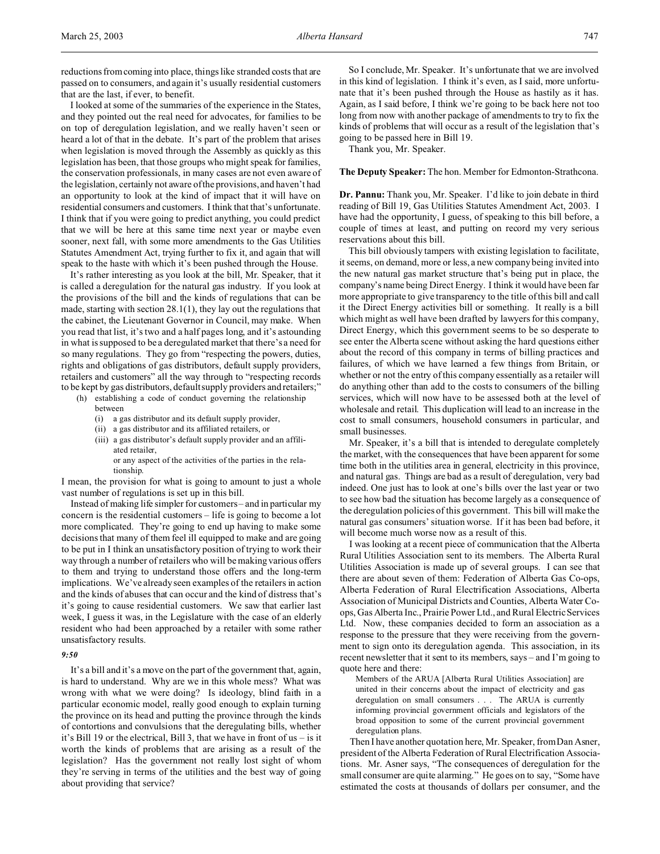reductions from coming into place, things like stranded costs that are passed on to consumers, and again it's usually residential customers that are the last, if ever, to benefit.

I looked at some of the summaries of the experience in the States, and they pointed out the real need for advocates, for families to be on top of deregulation legislation, and we really haven't seen or heard a lot of that in the debate. It's part of the problem that arises when legislation is moved through the Assembly as quickly as this legislation has been, that those groups who might speak for families, the conservation professionals, in many cases are not even aware of the legislation, certainly not aware of the provisions, and haven't had an opportunity to look at the kind of impact that it will have on residential consumers and customers. I think that that's unfortunate. I think that if you were going to predict anything, you could predict that we will be here at this same time next year or maybe even sooner, next fall, with some more amendments to the Gas Utilities Statutes Amendment Act, trying further to fix it, and again that will speak to the haste with which it's been pushed through the House.

It's rather interesting as you look at the bill, Mr. Speaker, that it is called a deregulation for the natural gas industry. If you look at the provisions of the bill and the kinds of regulations that can be made, starting with section 28.1(1), they lay out the regulations that the cabinet, the Lieutenant Governor in Council, may make. When you read that list, it's two and a half pages long, and it's astounding in what is supposed to be a deregulated market that there's a need for so many regulations. They go from "respecting the powers, duties, rights and obligations of gas distributors, default supply providers, retailers and customers" all the way through to "respecting records to be kept by gas distributors, default supply providers and retailers;"

- (h) establishing a code of conduct governing the relationship between
	- (i) a gas distributor and its default supply provider,
	- (ii) a gas distributor and its affiliated retailers, or
	- (iii) a gas distributor's default supply provider and an affiliated retailer,
		- or any aspect of the activities of the parties in the relationship.

I mean, the provision for what is going to amount to just a whole vast number of regulations is set up in this bill.

Instead of making life simpler for customers – and in particular my concern is the residential customers – life is going to become a lot more complicated. They're going to end up having to make some decisions that many of them feel ill equipped to make and are going to be put in I think an unsatisfactory position of trying to work their way through a number of retailers who will be making various offers to them and trying to understand those offers and the long-term implications. We've already seen examples of the retailers in action and the kinds of abuses that can occur and the kind of distress that's it's going to cause residential customers. We saw that earlier last week, I guess it was, in the Legislature with the case of an elderly resident who had been approached by a retailer with some rather unsatisfactory results.

### *9:50*

It's a bill and it's a move on the part of the government that, again, is hard to understand. Why are we in this whole mess? What was wrong with what we were doing? Is ideology, blind faith in a particular economic model, really good enough to explain turning the province on its head and putting the province through the kinds of contortions and convulsions that the deregulating bills, whether it's Bill 19 or the electrical, Bill 3, that we have in front of us – is it worth the kinds of problems that are arising as a result of the legislation? Has the government not really lost sight of whom they're serving in terms of the utilities and the best way of going about providing that service?

So I conclude, Mr. Speaker. It's unfortunate that we are involved in this kind of legislation. I think it's even, as I said, more unfortunate that it's been pushed through the House as hastily as it has. Again, as I said before, I think we're going to be back here not too long from now with another package of amendments to try to fix the kinds of problems that will occur as a result of the legislation that's going to be passed here in Bill 19.

Thank you, Mr. Speaker.

### **The Deputy Speaker:** The hon. Member for Edmonton-Strathcona.

**Dr. Pannu:** Thank you, Mr. Speaker. I'd like to join debate in third reading of Bill 19, Gas Utilities Statutes Amendment Act, 2003. I have had the opportunity, I guess, of speaking to this bill before, a couple of times at least, and putting on record my very serious reservations about this bill.

This bill obviously tampers with existing legislation to facilitate, it seems, on demand, more or less, a new company being invited into the new natural gas market structure that's being put in place, the company's name being Direct Energy. I think it would have been far more appropriate to give transparency to the title of this bill and call it the Direct Energy activities bill or something. It really is a bill which might as well have been drafted by lawyers for this company, Direct Energy, which this government seems to be so desperate to see enter the Alberta scene without asking the hard questions either about the record of this company in terms of billing practices and failures, of which we have learned a few things from Britain, or whether or not the entry of this company essentially as a retailer will do anything other than add to the costs to consumers of the billing services, which will now have to be assessed both at the level of wholesale and retail. This duplication will lead to an increase in the cost to small consumers, household consumers in particular, and small businesses.

Mr. Speaker, it's a bill that is intended to deregulate completely the market, with the consequences that have been apparent for some time both in the utilities area in general, electricity in this province, and natural gas. Things are bad as a result of deregulation, very bad indeed. One just has to look at one's bills over the last year or two to see how bad the situation has become largely as a consequence of the deregulation policies of this government. This bill will make the natural gas consumers' situation worse. If it has been bad before, it will become much worse now as a result of this.

I was looking at a recent piece of communication that the Alberta Rural Utilities Association sent to its members. The Alberta Rural Utilities Association is made up of several groups. I can see that there are about seven of them: Federation of Alberta Gas Co-ops, Alberta Federation of Rural Electrification Associations, Alberta Association of Municipal Districts and Counties, Alberta Water Coops, Gas Alberta Inc., Prairie Power Ltd., and Rural Electric Services Ltd. Now, these companies decided to form an association as a response to the pressure that they were receiving from the government to sign onto its deregulation agenda. This association, in its recent newsletter that it sent to its members, says – and I'm going to quote here and there:

Members of the ARUA [Alberta Rural Utilities Association] are united in their concerns about the impact of electricity and gas deregulation on small consumers . . . The ARUA is currently informing provincial government officials and legislators of the broad opposition to some of the current provincial government deregulation plans.

Then I have another quotation here, Mr. Speaker, from Dan Asner, president of the Alberta Federation of Rural Electrification Associations. Mr. Asner says, "The consequences of deregulation for the small consumer are quite alarming." He goes on to say, "Some have estimated the costs at thousands of dollars per consumer, and the